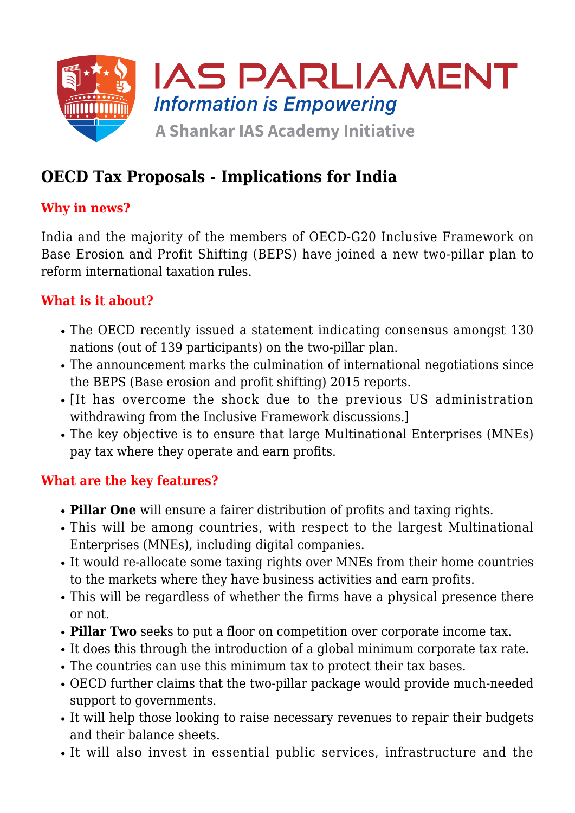

# **OECD Tax Proposals - Implications for India**

## **Why in news?**

India and the majority of the members of OECD-G20 Inclusive Framework on Base Erosion and Profit Shifting (BEPS) have joined a new two-pillar plan to reform international taxation rules.

## **What is it about?**

- The OECD recently issued a statement indicating consensus amongst 130 nations (out of 139 participants) on the two-pillar plan.
- The announcement marks the culmination of international negotiations since the BEPS (Base erosion and profit shifting) 2015 reports.
- It has overcome the shock due to the previous US administration withdrawing from the Inclusive Framework discussions.]
- The key objective is to ensure that large Multinational Enterprises (MNEs) pay tax where they operate and earn profits.

#### **What are the key features?**

- **Pillar One** will ensure a fairer distribution of profits and taxing rights.
- This will be among countries, with respect to the largest Multinational Enterprises (MNEs), including digital companies.
- It would re-allocate some taxing rights over MNEs from their home countries to the markets where they have business activities and earn profits.
- This will be regardless of whether the firms have a physical presence there or not.
- **Pillar Two** seeks to put a floor on competition over corporate income tax.
- It does this through the introduction of a global minimum corporate tax rate.
- The countries can use this minimum tax to protect their tax bases.
- OECD further claims that the two-pillar package would provide much-needed support to governments.
- It will help those looking to raise necessary revenues to repair their budgets and their balance sheets.
- It will also invest in essential public services, infrastructure and the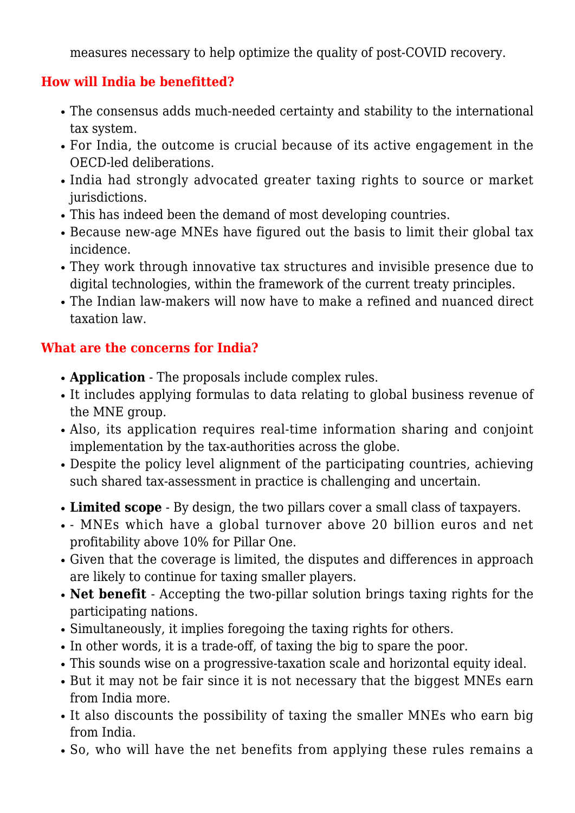measures necessary to help optimize the quality of post-COVID recovery.

#### **How will India be benefitted?**

- The consensus adds much-needed certainty and stability to the international tax system.
- For India, the outcome is crucial because of its active engagement in the OECD-led deliberations.
- India had strongly advocated greater taxing rights to source or market jurisdictions.
- This has indeed been the demand of most developing countries.
- Because new-age MNEs have figured out the basis to limit their global tax incidence.
- They work through innovative tax structures and invisible presence due to digital technologies, within the framework of the current treaty principles.
- The Indian law-makers will now have to make a refined and nuanced direct taxation law.

## **What are the concerns for India?**

- **Application** The proposals include complex rules.
- It includes applying formulas to data relating to global business revenue of the MNE group.
- Also, its application requires real-time information sharing and conjoint implementation by the tax-authorities across the globe.
- Despite the policy level alignment of the participating countries, achieving such shared tax-assessment in practice is challenging and uncertain.
- **Limited scope** By design, the two pillars cover a small class of taxpayers.
- MNEs which have a global turnover above 20 billion euros and net profitability above 10% for Pillar One.
- Given that the coverage is limited, the disputes and differences in approach are likely to continue for taxing smaller players.
- **Net benefit** Accepting the two-pillar solution brings taxing rights for the participating nations.
- Simultaneously, it implies foregoing the taxing rights for others.
- In other words, it is a trade-off, of taxing the big to spare the poor.
- This sounds wise on a progressive-taxation scale and horizontal equity ideal.
- But it may not be fair since it is not necessary that the biggest MNEs earn from India more.
- It also discounts the possibility of taxing the smaller MNEs who earn big from India.
- So, who will have the net benefits from applying these rules remains a